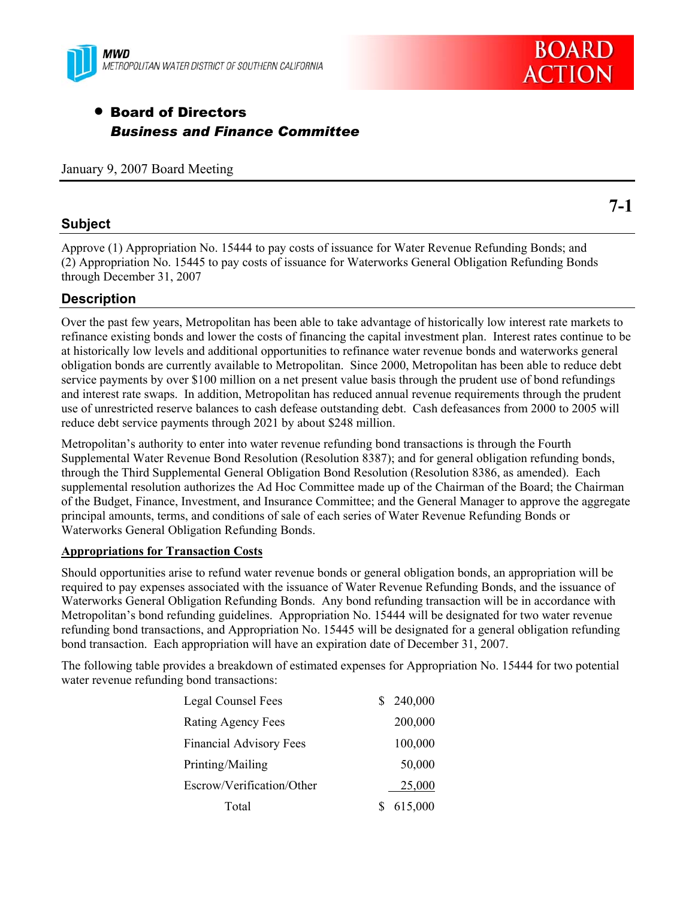

# • Board of Directors *Business and Finance Committee*

January 9, 2007 Board Meeting

### **Subject**

Approve (1) Appropriation No. 15444 to pay costs of issuance for Water Revenue Refunding Bonds; and (2) Appropriation No. 15445 to pay costs of issuance for Waterworks General Obligation Refunding Bonds through December 31, 2007

### **Description**

Over the past few years, Metropolitan has been able to take advantage of historically low interest rate markets to refinance existing bonds and lower the costs of financing the capital investment plan. Interest rates continue to be at historically low levels and additional opportunities to refinance water revenue bonds and waterworks general obligation bonds are currently available to Metropolitan. Since 2000, Metropolitan has been able to reduce debt service payments by over \$100 million on a net present value basis through the prudent use of bond refundings and interest rate swaps. In addition, Metropolitan has reduced annual revenue requirements through the prudent use of unrestricted reserve balances to cash defease outstanding debt. Cash defeasances from 2000 to 2005 will reduce debt service payments through 2021 by about \$248 million.

Metropolitan's authority to enter into water revenue refunding bond transactions is through the Fourth Supplemental Water Revenue Bond Resolution (Resolution 8387); and for general obligation refunding bonds, through the Third Supplemental General Obligation Bond Resolution (Resolution 8386, as amended). Each supplemental resolution authorizes the Ad Hoc Committee made up of the Chairman of the Board; the Chairman of the Budget, Finance, Investment, and Insurance Committee; and the General Manager to approve the aggregate principal amounts, terms, and conditions of sale of each series of Water Revenue Refunding Bonds or Waterworks General Obligation Refunding Bonds.

#### **Appropriations for Transaction Costs**

Should opportunities arise to refund water revenue bonds or general obligation bonds, an appropriation will be required to pay expenses associated with the issuance of Water Revenue Refunding Bonds, and the issuance of Waterworks General Obligation Refunding Bonds. Any bond refunding transaction will be in accordance with Metropolitan's bond refunding guidelines. Appropriation No. 15444 will be designated for two water revenue refunding bond transactions, and Appropriation No. 15445 will be designated for a general obligation refunding bond transaction. Each appropriation will have an expiration date of December 31, 2007.

The following table provides a breakdown of estimated expenses for Appropriation No. 15444 for two potential water revenue refunding bond transactions:

| Legal Counsel Fees             | \$240,000 |
|--------------------------------|-----------|
| Rating Agency Fees             | 200,000   |
| <b>Financial Advisory Fees</b> | 100,000   |
| Printing/Mailing               | 50,000    |
| Escrow/Verification/Other      | 25,000    |
| Total                          | 615,000   |

**7-1** 

**BOARD** 

**ACTION**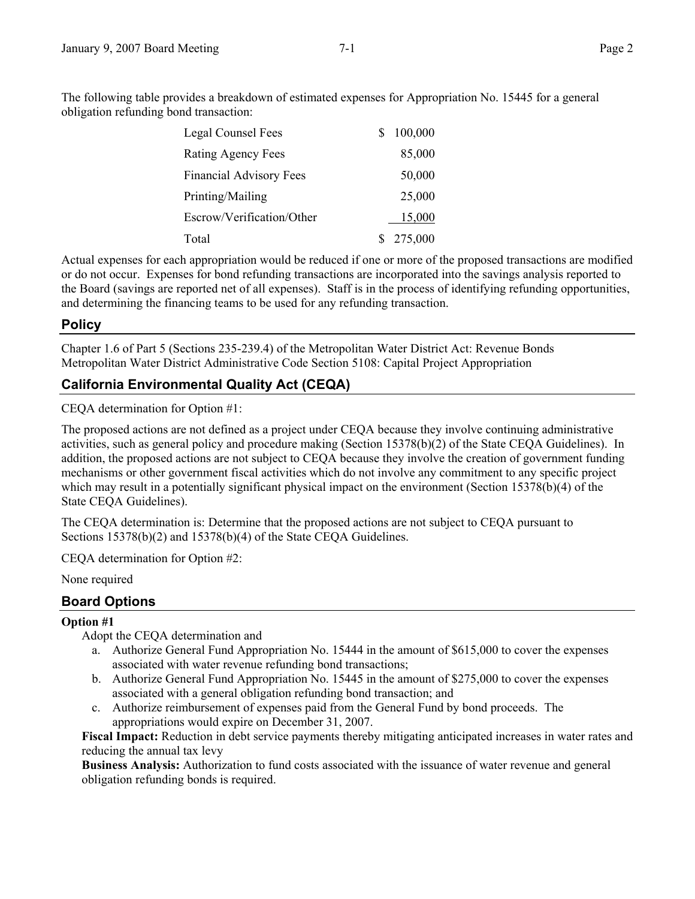The following table provides a breakdown of estimated expenses for Appropriation No. 15445 for a general obligation refunding bond transaction:

| Legal Counsel Fees             | S  | 100,000 |
|--------------------------------|----|---------|
| Rating Agency Fees             |    | 85,000  |
| <b>Financial Advisory Fees</b> |    | 50,000  |
| Printing/Mailing               |    | 25,000  |
| Escrow/Verification/Other      |    | 15,000  |
| Total                          | S. | 275,000 |

Actual expenses for each appropriation would be reduced if one or more of the proposed transactions are modified or do not occur. Expenses for bond refunding transactions are incorporated into the savings analysis reported to the Board (savings are reported net of all expenses). Staff is in the process of identifying refunding opportunities, and determining the financing teams to be used for any refunding transaction.

### **Policy**

Chapter 1.6 of Part 5 (Sections 235-239.4) of the Metropolitan Water District Act: Revenue Bonds Metropolitan Water District Administrative Code Section 5108: Capital Project Appropriation

# **California Environmental Quality Act (CEQA)**

CEQA determination for Option #1:

The proposed actions are not defined as a project under CEQA because they involve continuing administrative activities, such as general policy and procedure making (Section 15378(b)(2) of the State CEQA Guidelines). In addition, the proposed actions are not subject to CEQA because they involve the creation of government funding mechanisms or other government fiscal activities which do not involve any commitment to any specific project which may result in a potentially significant physical impact on the environment (Section 15378(b)(4) of the State CEQA Guidelines).

The CEQA determination is: Determine that the proposed actions are not subject to CEQA pursuant to Sections 15378(b)(2) and 15378(b)(4) of the State CEQA Guidelines.

CEQA determination for Option #2:

None required

## **Board Options**

#### **Option #1**

Adopt the CEQA determination and

- a. Authorize General Fund Appropriation No. 15444 in the amount of \$615,000 to cover the expenses associated with water revenue refunding bond transactions;
- b. Authorize General Fund Appropriation No. 15445 in the amount of \$275,000 to cover the expenses associated with a general obligation refunding bond transaction; and
- c. Authorize reimbursement of expenses paid from the General Fund by bond proceeds. The appropriations would expire on December 31, 2007.

**Fiscal Impact:** Reduction in debt service payments thereby mitigating anticipated increases in water rates and reducing the annual tax levy

**Business Analysis:** Authorization to fund costs associated with the issuance of water revenue and general obligation refunding bonds is required.